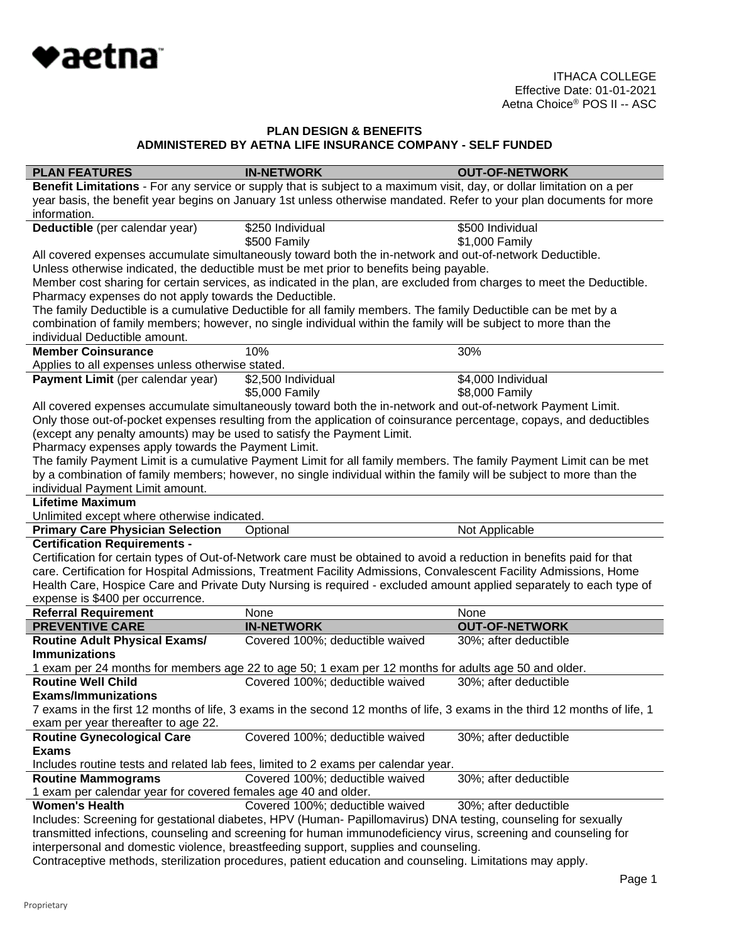

| <b>PLAN FEATURES</b>                                                                                                       | <b>IN-NETWORK</b>                                                                                                                                                                                 | <b>OUT-OF-NETWORK</b> |  |
|----------------------------------------------------------------------------------------------------------------------------|---------------------------------------------------------------------------------------------------------------------------------------------------------------------------------------------------|-----------------------|--|
|                                                                                                                            | Benefit Limitations - For any service or supply that is subject to a maximum visit, day, or dollar limitation on a per                                                                            |                       |  |
| year basis, the benefit year begins on January 1st unless otherwise mandated. Refer to your plan documents for more        |                                                                                                                                                                                                   |                       |  |
| information.                                                                                                               |                                                                                                                                                                                                   |                       |  |
| Deductible (per calendar year)                                                                                             | \$250 Individual                                                                                                                                                                                  | \$500 Individual      |  |
|                                                                                                                            | \$500 Family                                                                                                                                                                                      | \$1,000 Family        |  |
|                                                                                                                            | All covered expenses accumulate simultaneously toward both the in-network and out-of-network Deductible.                                                                                          |                       |  |
|                                                                                                                            | Unless otherwise indicated, the deductible must be met prior to benefits being payable.                                                                                                           |                       |  |
|                                                                                                                            | Member cost sharing for certain services, as indicated in the plan, are excluded from charges to meet the Deductible.                                                                             |                       |  |
| Pharmacy expenses do not apply towards the Deductible.                                                                     |                                                                                                                                                                                                   |                       |  |
|                                                                                                                            | The family Deductible is a cumulative Deductible for all family members. The family Deductible can be met by a                                                                                    |                       |  |
|                                                                                                                            | combination of family members; however, no single individual within the family will be subject to more than the                                                                                   |                       |  |
| individual Deductible amount.                                                                                              |                                                                                                                                                                                                   |                       |  |
| <b>Member Coinsurance</b>                                                                                                  | 10%                                                                                                                                                                                               | 30%                   |  |
| Applies to all expenses unless otherwise stated.                                                                           |                                                                                                                                                                                                   |                       |  |
| Payment Limit (per calendar year)                                                                                          | \$2,500 Individual                                                                                                                                                                                | \$4,000 Individual    |  |
|                                                                                                                            | \$5,000 Family                                                                                                                                                                                    | \$8,000 Family        |  |
|                                                                                                                            | All covered expenses accumulate simultaneously toward both the in-network and out-of-network Payment Limit.                                                                                       |                       |  |
|                                                                                                                            | Only those out-of-pocket expenses resulting from the application of coinsurance percentage, copays, and deductibles                                                                               |                       |  |
| (except any penalty amounts) may be used to satisfy the Payment Limit.                                                     |                                                                                                                                                                                                   |                       |  |
| Pharmacy expenses apply towards the Payment Limit.                                                                         |                                                                                                                                                                                                   |                       |  |
|                                                                                                                            | The family Payment Limit is a cumulative Payment Limit for all family members. The family Payment Limit can be met                                                                                |                       |  |
|                                                                                                                            | by a combination of family members; however, no single individual within the family will be subject to more than the                                                                              |                       |  |
| individual Payment Limit amount.                                                                                           |                                                                                                                                                                                                   |                       |  |
| <b>Lifetime Maximum</b>                                                                                                    |                                                                                                                                                                                                   |                       |  |
| Unlimited except where otherwise indicated.                                                                                |                                                                                                                                                                                                   |                       |  |
| <b>Primary Care Physician Selection</b>                                                                                    | Optional                                                                                                                                                                                          | Not Applicable        |  |
| <b>Certification Requirements -</b>                                                                                        |                                                                                                                                                                                                   |                       |  |
|                                                                                                                            | Certification for certain types of Out-of-Network care must be obtained to avoid a reduction in benefits paid for that                                                                            |                       |  |
|                                                                                                                            | care. Certification for Hospital Admissions, Treatment Facility Admissions, Convalescent Facility Admissions, Home                                                                                |                       |  |
|                                                                                                                            | Health Care, Hospice Care and Private Duty Nursing is required - excluded amount applied separately to each type of                                                                               |                       |  |
| expense is \$400 per occurrence.                                                                                           |                                                                                                                                                                                                   |                       |  |
| <b>Referral Requirement</b>                                                                                                | None                                                                                                                                                                                              | None                  |  |
| <b>PREVENTIVE CARE</b>                                                                                                     | <b>IN-NETWORK</b>                                                                                                                                                                                 | <b>OUT-OF-NETWORK</b> |  |
| <b>Routine Adult Physical Exams/</b>                                                                                       | Covered 100%; deductible waived                                                                                                                                                                   | 30%; after deductible |  |
| <b>Immunizations</b>                                                                                                       |                                                                                                                                                                                                   |                       |  |
|                                                                                                                            | 1 exam per 24 months for members age 22 to age 50; 1 exam per 12 months for adults age 50 and older.                                                                                              |                       |  |
| <b>Routine Well Child</b>                                                                                                  | Covered 100%; deductible waived                                                                                                                                                                   | 30%; after deductible |  |
| <b>Exams/Immunizations</b>                                                                                                 |                                                                                                                                                                                                   |                       |  |
| 7 exams in the first 12 months of life, 3 exams in the second 12 months of life, 3 exams in the third 12 months of life, 1 |                                                                                                                                                                                                   |                       |  |
| exam per year thereafter to age 22.                                                                                        |                                                                                                                                                                                                   |                       |  |
| <b>Routine Gynecological Care</b>                                                                                          | Covered 100%; deductible waived                                                                                                                                                                   | 30%; after deductible |  |
| <b>Exams</b>                                                                                                               |                                                                                                                                                                                                   |                       |  |
| Includes routine tests and related lab fees, limited to 2 exams per calendar year.                                         |                                                                                                                                                                                                   |                       |  |
| <b>Routine Mammograms</b>                                                                                                  |                                                                                                                                                                                                   |                       |  |
|                                                                                                                            |                                                                                                                                                                                                   |                       |  |
|                                                                                                                            | Covered 100%; deductible waived                                                                                                                                                                   | 30%; after deductible |  |
| 1 exam per calendar year for covered females age 40 and older.<br><b>Women's Health</b>                                    |                                                                                                                                                                                                   |                       |  |
|                                                                                                                            | Covered 100%; deductible waived                                                                                                                                                                   | 30%; after deductible |  |
|                                                                                                                            | Includes: Screening for gestational diabetes, HPV (Human- Papillomavirus) DNA testing, counseling for sexually                                                                                    |                       |  |
|                                                                                                                            | transmitted infections, counseling and screening for human immunodeficiency virus, screening and counseling for                                                                                   |                       |  |
|                                                                                                                            | interpersonal and domestic violence, breastfeeding support, supplies and counseling.<br>Contraceptive methods, sterilization procedures, patient education and counseling. Limitations may apply. |                       |  |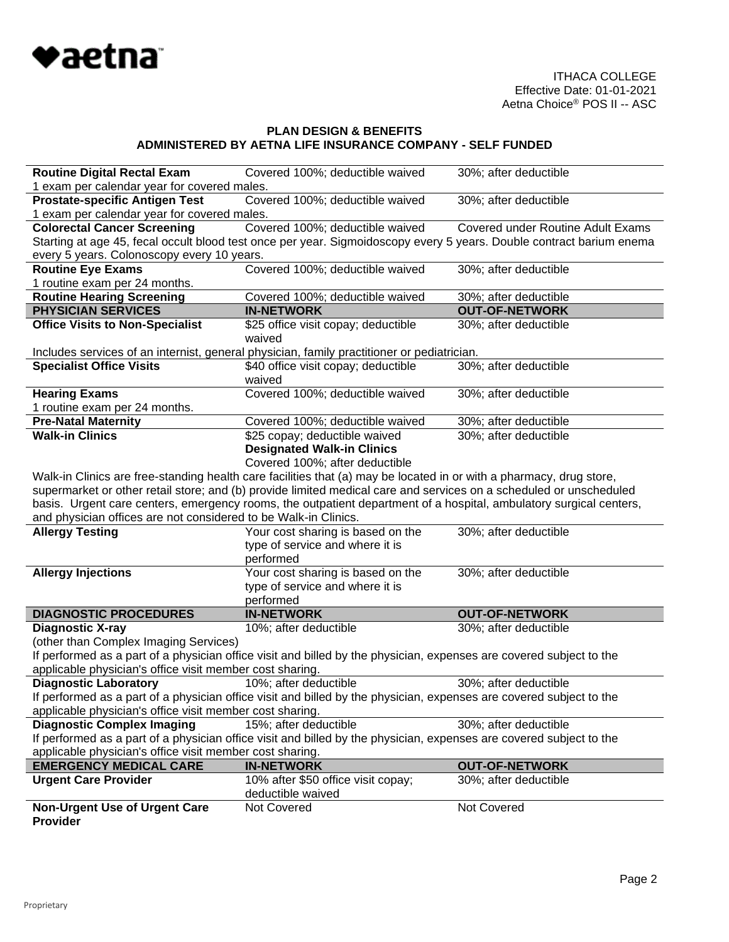

| <b>Routine Digital Rectal Exam</b>                                                                                  | Covered 100%; deductible waived                                                                                      | 30%; after deductible                    |  |
|---------------------------------------------------------------------------------------------------------------------|----------------------------------------------------------------------------------------------------------------------|------------------------------------------|--|
| 1 exam per calendar year for covered males.                                                                         |                                                                                                                      |                                          |  |
| <b>Prostate-specific Antigen Test</b>                                                                               | Covered 100%; deductible waived                                                                                      | 30%; after deductible                    |  |
| 1 exam per calendar year for covered males.                                                                         |                                                                                                                      |                                          |  |
| <b>Colorectal Cancer Screening</b>                                                                                  | Covered 100%; deductible waived                                                                                      | <b>Covered under Routine Adult Exams</b> |  |
|                                                                                                                     | Starting at age 45, fecal occult blood test once per year. Sigmoidoscopy every 5 years. Double contract barium enema |                                          |  |
| every 5 years. Colonoscopy every 10 years.                                                                          |                                                                                                                      |                                          |  |
| <b>Routine Eye Exams</b>                                                                                            | Covered 100%; deductible waived                                                                                      | 30%; after deductible                    |  |
| 1 routine exam per 24 months.                                                                                       |                                                                                                                      |                                          |  |
| <b>Routine Hearing Screening</b>                                                                                    | Covered 100%; deductible waived                                                                                      | 30%; after deductible                    |  |
| <b>PHYSICIAN SERVICES</b>                                                                                           | <b>IN-NETWORK</b>                                                                                                    | <b>OUT-OF-NETWORK</b>                    |  |
| <b>Office Visits to Non-Specialist</b>                                                                              | \$25 office visit copay; deductible<br>waived                                                                        | 30%; after deductible                    |  |
|                                                                                                                     | Includes services of an internist, general physician, family practitioner or pediatrician.                           |                                          |  |
| <b>Specialist Office Visits</b>                                                                                     | \$40 office visit copay; deductible<br>waived                                                                        | 30%; after deductible                    |  |
| <b>Hearing Exams</b>                                                                                                | Covered 100%; deductible waived                                                                                      | 30%; after deductible                    |  |
| 1 routine exam per 24 months.                                                                                       |                                                                                                                      |                                          |  |
| <b>Pre-Natal Maternity</b>                                                                                          | Covered 100%; deductible waived                                                                                      | 30%; after deductible                    |  |
| <b>Walk-in Clinics</b>                                                                                              | \$25 copay; deductible waived                                                                                        | 30%; after deductible                    |  |
|                                                                                                                     | <b>Designated Walk-in Clinics</b>                                                                                    |                                          |  |
|                                                                                                                     | Covered 100%; after deductible                                                                                       |                                          |  |
|                                                                                                                     | Walk-in Clinics are free-standing health care facilities that (a) may be located in or with a pharmacy, drug store,  |                                          |  |
|                                                                                                                     | supermarket or other retail store; and (b) provide limited medical care and services on a scheduled or unscheduled   |                                          |  |
|                                                                                                                     | basis. Urgent care centers, emergency rooms, the outpatient department of a hospital, ambulatory surgical centers,   |                                          |  |
| and physician offices are not considered to be Walk-in Clinics.                                                     |                                                                                                                      |                                          |  |
| <b>Allergy Testing</b>                                                                                              | Your cost sharing is based on the                                                                                    | 30%; after deductible                    |  |
|                                                                                                                     | type of service and where it is                                                                                      |                                          |  |
|                                                                                                                     | performed                                                                                                            |                                          |  |
| <b>Allergy Injections</b>                                                                                           | Your cost sharing is based on the                                                                                    | 30%; after deductible                    |  |
|                                                                                                                     | type of service and where it is                                                                                      |                                          |  |
|                                                                                                                     | performed                                                                                                            |                                          |  |
| <b>DIAGNOSTIC PROCEDURES</b>                                                                                        | <b>IN-NETWORK</b>                                                                                                    | <b>OUT-OF-NETWORK</b>                    |  |
| <b>Diagnostic X-ray</b>                                                                                             | 10%; after deductible                                                                                                | 30%; after deductible                    |  |
| (other than Complex Imaging Services)                                                                               |                                                                                                                      |                                          |  |
| If performed as a part of a physician office visit and billed by the physician, expenses are covered subject to the |                                                                                                                      |                                          |  |
| applicable physician's office visit member cost sharing.                                                            |                                                                                                                      |                                          |  |
| <b>Diagnostic Laboratory</b>                                                                                        | 10%; after deductible                                                                                                | 30%; after deductible                    |  |
|                                                                                                                     | If performed as a part of a physician office visit and billed by the physician, expenses are covered subject to the  |                                          |  |
| applicable physician's office visit member cost sharing.                                                            |                                                                                                                      |                                          |  |
| <b>Diagnostic Complex Imaging</b>                                                                                   | 15%; after deductible                                                                                                | 30%; after deductible                    |  |
|                                                                                                                     | If performed as a part of a physician office visit and billed by the physician, expenses are covered subject to the  |                                          |  |
| applicable physician's office visit member cost sharing.                                                            |                                                                                                                      |                                          |  |
| <b>EMERGENCY MEDICAL CARE</b>                                                                                       | <b>IN-NETWORK</b>                                                                                                    | <b>OUT-OF-NETWORK</b>                    |  |
| <b>Urgent Care Provider</b>                                                                                         | 10% after \$50 office visit copay;                                                                                   | 30%; after deductible                    |  |
|                                                                                                                     | deductible waived                                                                                                    |                                          |  |
| <b>Non-Urgent Use of Urgent Care</b><br><b>Provider</b>                                                             | Not Covered                                                                                                          | Not Covered                              |  |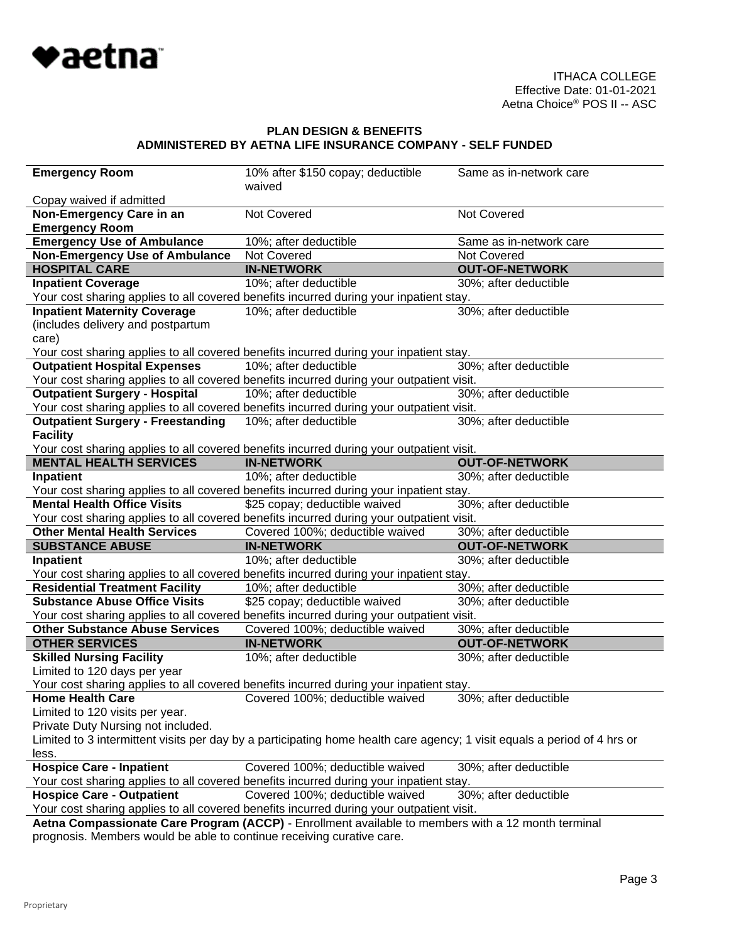

| <b>Emergency Room</b>                                                                                                    | 10% after \$150 copay; deductible                                                        | Same as in-network care |  |
|--------------------------------------------------------------------------------------------------------------------------|------------------------------------------------------------------------------------------|-------------------------|--|
|                                                                                                                          | waived                                                                                   |                         |  |
| Copay waived if admitted                                                                                                 |                                                                                          |                         |  |
| Non-Emergency Care in an                                                                                                 | Not Covered                                                                              | Not Covered             |  |
| <b>Emergency Room</b>                                                                                                    |                                                                                          |                         |  |
| <b>Emergency Use of Ambulance</b>                                                                                        | 10%; after deductible                                                                    | Same as in-network care |  |
| <b>Non-Emergency Use of Ambulance</b>                                                                                    | Not Covered                                                                              | Not Covered             |  |
| <b>HOSPITAL CARE</b>                                                                                                     | <b>IN-NETWORK</b>                                                                        | <b>OUT-OF-NETWORK</b>   |  |
| <b>Inpatient Coverage</b>                                                                                                | 10%; after deductible                                                                    | 30%; after deductible   |  |
|                                                                                                                          | Your cost sharing applies to all covered benefits incurred during your inpatient stay.   |                         |  |
| <b>Inpatient Maternity Coverage</b>                                                                                      | 10%; after deductible                                                                    | 30%; after deductible   |  |
| (includes delivery and postpartum                                                                                        |                                                                                          |                         |  |
| care)                                                                                                                    |                                                                                          |                         |  |
|                                                                                                                          | Your cost sharing applies to all covered benefits incurred during your inpatient stay.   |                         |  |
| <b>Outpatient Hospital Expenses</b>                                                                                      | 10%; after deductible                                                                    | 30%; after deductible   |  |
|                                                                                                                          | Your cost sharing applies to all covered benefits incurred during your outpatient visit. |                         |  |
| <b>Outpatient Surgery - Hospital</b>                                                                                     | 10%; after deductible                                                                    | 30%; after deductible   |  |
|                                                                                                                          | Your cost sharing applies to all covered benefits incurred during your outpatient visit. |                         |  |
| <b>Outpatient Surgery - Freestanding</b>                                                                                 | 10%; after deductible                                                                    | 30%; after deductible   |  |
| <b>Facility</b>                                                                                                          |                                                                                          |                         |  |
|                                                                                                                          | Your cost sharing applies to all covered benefits incurred during your outpatient visit. |                         |  |
| <b>MENTAL HEALTH SERVICES</b>                                                                                            | <b>IN-NETWORK</b>                                                                        | <b>OUT-OF-NETWORK</b>   |  |
| Inpatient                                                                                                                | 10%; after deductible                                                                    | 30%; after deductible   |  |
|                                                                                                                          | Your cost sharing applies to all covered benefits incurred during your inpatient stay.   |                         |  |
| <b>Mental Health Office Visits</b>                                                                                       | \$25 copay; deductible waived                                                            | 30%; after deductible   |  |
|                                                                                                                          | Your cost sharing applies to all covered benefits incurred during your outpatient visit. |                         |  |
| <b>Other Mental Health Services</b>                                                                                      | Covered 100%; deductible waived                                                          | 30%; after deductible   |  |
| <b>SUBSTANCE ABUSE</b>                                                                                                   | <b>IN-NETWORK</b>                                                                        | <b>OUT-OF-NETWORK</b>   |  |
| Inpatient                                                                                                                | 10%; after deductible                                                                    | 30%; after deductible   |  |
|                                                                                                                          | Your cost sharing applies to all covered benefits incurred during your inpatient stay.   |                         |  |
| <b>Residential Treatment Facility</b>                                                                                    | 10%; after deductible                                                                    | 30%; after deductible   |  |
| <b>Substance Abuse Office Visits</b>                                                                                     |                                                                                          |                         |  |
|                                                                                                                          | \$25 copay; deductible waived                                                            | 30%; after deductible   |  |
| <b>Other Substance Abuse Services</b>                                                                                    | Your cost sharing applies to all covered benefits incurred during your outpatient visit. |                         |  |
|                                                                                                                          | Covered 100%; deductible waived                                                          | 30%; after deductible   |  |
| <b>OTHER SERVICES</b>                                                                                                    | <b>IN-NETWORK</b>                                                                        | <b>OUT-OF-NETWORK</b>   |  |
| <b>Skilled Nursing Facility</b>                                                                                          | 10%; after deductible                                                                    | 30%; after deductible   |  |
| Limited to 120 days per year                                                                                             |                                                                                          |                         |  |
|                                                                                                                          | Your cost sharing applies to all covered benefits incurred during your inpatient stay.   |                         |  |
| <b>Home Health Care</b>                                                                                                  | Covered 100%; deductible waived                                                          | 30%; after deductible   |  |
| Limited to 120 visits per year.                                                                                          |                                                                                          |                         |  |
| Private Duty Nursing not included.                                                                                       |                                                                                          |                         |  |
| Limited to 3 intermittent visits per day by a participating home health care agency; 1 visit equals a period of 4 hrs or |                                                                                          |                         |  |
| less.                                                                                                                    |                                                                                          |                         |  |
| <b>Hospice Care - Inpatient</b>                                                                                          | Covered 100%; deductible waived                                                          | 30%; after deductible   |  |
|                                                                                                                          | Your cost sharing applies to all covered benefits incurred during your inpatient stay.   |                         |  |
| <b>Hospice Care - Outpatient</b>                                                                                         | Covered 100%; deductible waived                                                          | 30%; after deductible   |  |
|                                                                                                                          | Your cost sharing applies to all covered benefits incurred during your outpatient visit. |                         |  |
| Aetna Compassionate Care Program (ACCP) - Enrollment available to members with a 12 month terminal                       |                                                                                          |                         |  |
| prognosis. Members would be able to continue receiving curative care.                                                    |                                                                                          |                         |  |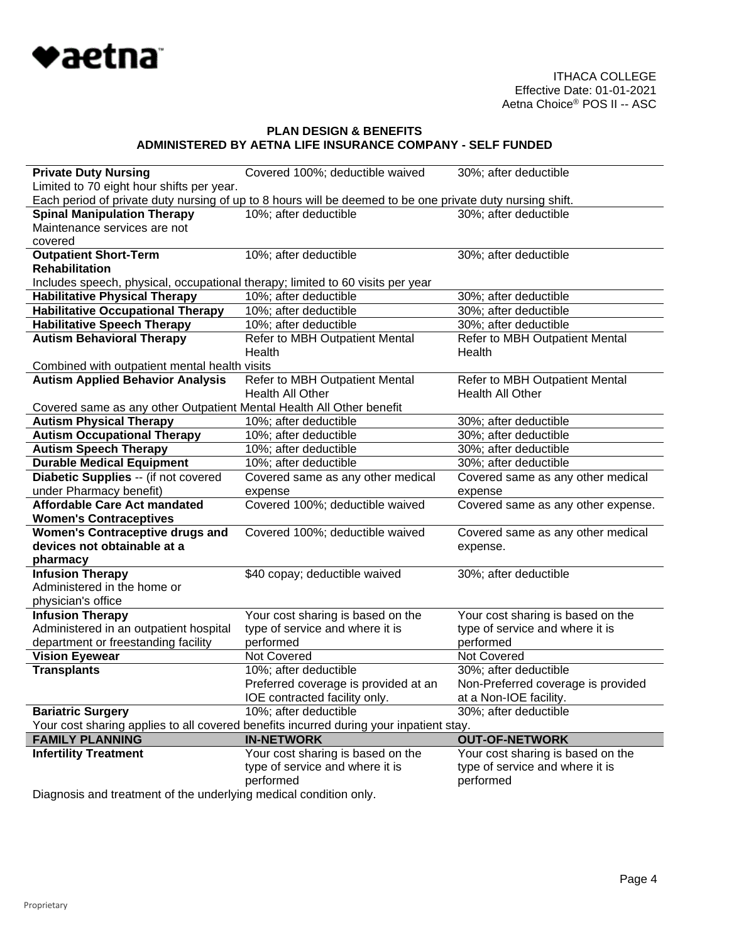

| <b>Private Duty Nursing</b>                                                            | Covered 100%; deductible waived                                                                           | 30%; after deductible              |
|----------------------------------------------------------------------------------------|-----------------------------------------------------------------------------------------------------------|------------------------------------|
| Limited to 70 eight hour shifts per year.                                              |                                                                                                           |                                    |
|                                                                                        | Each period of private duty nursing of up to 8 hours will be deemed to be one private duty nursing shift. |                                    |
| <b>Spinal Manipulation Therapy</b>                                                     | 10%; after deductible                                                                                     | 30%; after deductible              |
| Maintenance services are not                                                           |                                                                                                           |                                    |
| covered                                                                                |                                                                                                           |                                    |
| <b>Outpatient Short-Term</b>                                                           | 10%; after deductible                                                                                     | 30%; after deductible              |
| <b>Rehabilitation</b>                                                                  |                                                                                                           |                                    |
| Includes speech, physical, occupational therapy; limited to 60 visits per year         |                                                                                                           |                                    |
| <b>Habilitative Physical Therapy</b>                                                   | 10%; after deductible                                                                                     | 30%; after deductible              |
| <b>Habilitative Occupational Therapy</b>                                               | 10%; after deductible                                                                                     | 30%; after deductible              |
| <b>Habilitative Speech Therapy</b>                                                     | 10%; after deductible                                                                                     | 30%; after deductible              |
| <b>Autism Behavioral Therapy</b>                                                       | Refer to MBH Outpatient Mental                                                                            | Refer to MBH Outpatient Mental     |
|                                                                                        | Health                                                                                                    | Health                             |
| Combined with outpatient mental health visits                                          |                                                                                                           |                                    |
| <b>Autism Applied Behavior Analysis</b>                                                | Refer to MBH Outpatient Mental                                                                            | Refer to MBH Outpatient Mental     |
|                                                                                        | <b>Health All Other</b>                                                                                   | Health All Other                   |
| Covered same as any other Outpatient Mental Health All Other benefit                   |                                                                                                           |                                    |
| <b>Autism Physical Therapy</b>                                                         | 10%; after deductible                                                                                     | 30%; after deductible              |
| <b>Autism Occupational Therapy</b>                                                     | 10%; after deductible                                                                                     | 30%; after deductible              |
| <b>Autism Speech Therapy</b>                                                           | 10%; after deductible                                                                                     | 30%; after deductible              |
| <b>Durable Medical Equipment</b>                                                       | 10%; after deductible                                                                                     | 30%; after deductible              |
| Diabetic Supplies -- (if not covered                                                   | Covered same as any other medical                                                                         | Covered same as any other medical  |
| under Pharmacy benefit)                                                                | expense                                                                                                   | expense                            |
| <b>Affordable Care Act mandated</b>                                                    | Covered 100%; deductible waived                                                                           | Covered same as any other expense. |
| <b>Women's Contraceptives</b>                                                          |                                                                                                           |                                    |
| <b>Women's Contraceptive drugs and</b>                                                 | Covered 100%; deductible waived                                                                           | Covered same as any other medical  |
| devices not obtainable at a                                                            |                                                                                                           | expense.                           |
| pharmacy                                                                               |                                                                                                           |                                    |
| <b>Infusion Therapy</b>                                                                | \$40 copay; deductible waived                                                                             | 30%; after deductible              |
| Administered in the home or                                                            |                                                                                                           |                                    |
| physician's office                                                                     |                                                                                                           |                                    |
| <b>Infusion Therapy</b>                                                                | Your cost sharing is based on the                                                                         | Your cost sharing is based on the  |
| Administered in an outpatient hospital                                                 | type of service and where it is                                                                           | type of service and where it is    |
| department or freestanding facility                                                    | performed                                                                                                 | performed                          |
| <b>Vision Eyewear</b>                                                                  | Not Covered                                                                                               | Not Covered                        |
| <b>Transplants</b>                                                                     | 10%; after deductible                                                                                     | 30%; after deductible              |
|                                                                                        | Preferred coverage is provided at an                                                                      | Non-Preferred coverage is provided |
|                                                                                        | IOE contracted facility only.                                                                             | at a Non-IOE facility.             |
| <b>Bariatric Surgery</b>                                                               | 10%; after deductible                                                                                     | 30%; after deductible              |
| Your cost sharing applies to all covered benefits incurred during your inpatient stay. |                                                                                                           |                                    |
| <b>FAMILY PLANNING</b>                                                                 | <b>IN-NETWORK</b>                                                                                         | <b>OUT-OF-NETWORK</b>              |
| <b>Infertility Treatment</b>                                                           | Your cost sharing is based on the                                                                         | Your cost sharing is based on the  |
|                                                                                        | type of service and where it is                                                                           | type of service and where it is    |
|                                                                                        | performed                                                                                                 | performed                          |
|                                                                                        |                                                                                                           |                                    |

Diagnosis and treatment of the underlying medical condition only.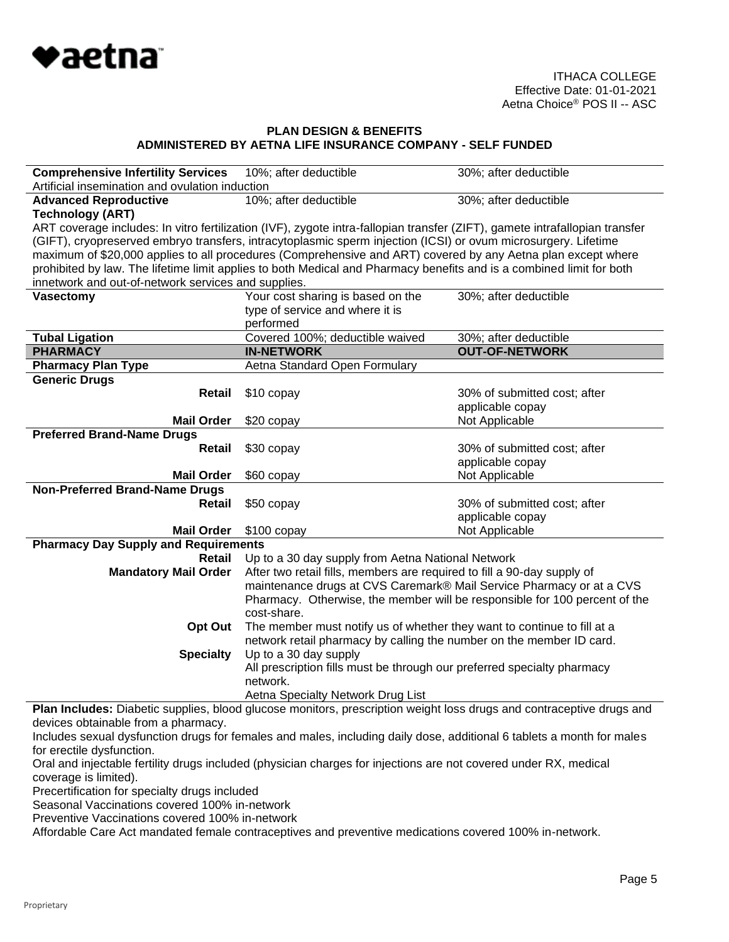

| <b>Comprehensive Infertility Services</b>                                                                            | 10%; after deductible                                                                                                                              | 30%; after deductible        |  |
|----------------------------------------------------------------------------------------------------------------------|----------------------------------------------------------------------------------------------------------------------------------------------------|------------------------------|--|
| Artificial insemination and ovulation induction                                                                      |                                                                                                                                                    |                              |  |
| <b>Advanced Reproductive</b>                                                                                         | 10%; after deductible                                                                                                                              | 30%; after deductible        |  |
| <b>Technology (ART)</b>                                                                                              |                                                                                                                                                    |                              |  |
|                                                                                                                      | ART coverage includes: In vitro fertilization (IVF), zygote intra-fallopian transfer (ZIFT), gamete intrafallopian transfer                        |                              |  |
|                                                                                                                      | (GIFT), cryopreserved embryo transfers, intracytoplasmic sperm injection (ICSI) or ovum microsurgery. Lifetime                                     |                              |  |
|                                                                                                                      | maximum of \$20,000 applies to all procedures (Comprehensive and ART) covered by any Aetna plan except where                                       |                              |  |
|                                                                                                                      | prohibited by law. The lifetime limit applies to both Medical and Pharmacy benefits and is a combined limit for both                               |                              |  |
| innetwork and out-of-network services and supplies.                                                                  |                                                                                                                                                    |                              |  |
| <b>Vasectomy</b>                                                                                                     | Your cost sharing is based on the                                                                                                                  | 30%; after deductible        |  |
|                                                                                                                      | type of service and where it is                                                                                                                    |                              |  |
|                                                                                                                      | performed                                                                                                                                          |                              |  |
| <b>Tubal Ligation</b>                                                                                                | Covered 100%; deductible waived                                                                                                                    | 30%; after deductible        |  |
| <b>PHARMACY</b>                                                                                                      | <b>IN-NETWORK</b>                                                                                                                                  | <b>OUT-OF-NETWORK</b>        |  |
| <b>Pharmacy Plan Type</b>                                                                                            | Aetna Standard Open Formulary                                                                                                                      |                              |  |
| <b>Generic Drugs</b>                                                                                                 |                                                                                                                                                    |                              |  |
| Retail                                                                                                               | \$10 copay                                                                                                                                         | 30% of submitted cost; after |  |
|                                                                                                                      |                                                                                                                                                    | applicable copay             |  |
| <b>Mail Order</b>                                                                                                    | \$20 copay                                                                                                                                         | Not Applicable               |  |
| <b>Preferred Brand-Name Drugs</b>                                                                                    |                                                                                                                                                    |                              |  |
| Retail                                                                                                               | \$30 copay                                                                                                                                         | 30% of submitted cost; after |  |
|                                                                                                                      |                                                                                                                                                    | applicable copay             |  |
| <b>Mail Order</b>                                                                                                    | \$60 copay                                                                                                                                         | Not Applicable               |  |
| <b>Non-Preferred Brand-Name Drugs</b>                                                                                |                                                                                                                                                    |                              |  |
| Retail                                                                                                               | \$50 copay                                                                                                                                         | 30% of submitted cost; after |  |
|                                                                                                                      |                                                                                                                                                    | applicable copay             |  |
| <b>Mail Order</b>                                                                                                    | $$100$ copay                                                                                                                                       | Not Applicable               |  |
| <b>Pharmacy Day Supply and Requirements</b>                                                                          |                                                                                                                                                    |                              |  |
| Retail                                                                                                               | Up to a 30 day supply from Aetna National Network                                                                                                  |                              |  |
| <b>Mandatory Mail Order</b>                                                                                          | After two retail fills, members are required to fill a 90-day supply of                                                                            |                              |  |
|                                                                                                                      | maintenance drugs at CVS Caremark® Mail Service Pharmacy or at a CVS<br>Pharmacy. Otherwise, the member will be responsible for 100 percent of the |                              |  |
|                                                                                                                      |                                                                                                                                                    |                              |  |
|                                                                                                                      | cost-share.                                                                                                                                        |                              |  |
| Opt Out                                                                                                              | The member must notify us of whether they want to continue to fill at a                                                                            |                              |  |
|                                                                                                                      | network retail pharmacy by calling the number on the member ID card.                                                                               |                              |  |
| <b>Specialty</b>                                                                                                     | Up to a 30 day supply                                                                                                                              |                              |  |
|                                                                                                                      | All prescription fills must be through our preferred specialty pharmacy                                                                            |                              |  |
|                                                                                                                      | network.                                                                                                                                           |                              |  |
| Aetna Specialty Network Drug List                                                                                    |                                                                                                                                                    |                              |  |
| Plan Includes: Diabetic supplies, blood glucose monitors, prescription weight loss drugs and contraceptive drugs and |                                                                                                                                                    |                              |  |

devices obtainable from a pharmacy.

Includes sexual dysfunction drugs for females and males, including daily dose, additional 6 tablets a month for males for erectile dysfunction.

Oral and injectable fertility drugs included (physician charges for injections are not covered under RX, medical coverage is limited).

Precertification for specialty drugs included

Seasonal Vaccinations covered 100% in-network

Preventive Vaccinations covered 100% in-network

Affordable Care Act mandated female contraceptives and preventive medications covered 100% in-network.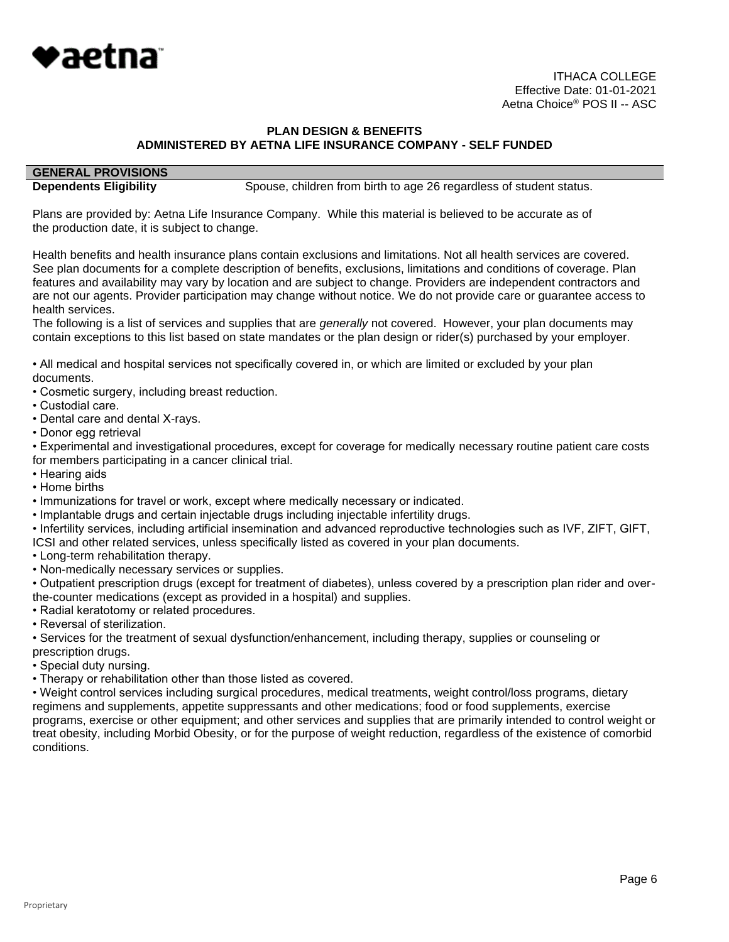

# **GENERAL PROVISIONS**

**Dependents Eligibility** Spouse, children from birth to age 26 regardless of student status.

Plans are provided by: Aetna Life Insurance Company. While this material is believed to be accurate as of the production date, it is subject to change.

Health benefits and health insurance plans contain exclusions and limitations. Not all health services are covered. See plan documents for a complete description of benefits, exclusions, limitations and conditions of coverage. Plan features and availability may vary by location and are subject to change. Providers are independent contractors and are not our agents. Provider participation may change without notice. We do not provide care or guarantee access to health services.

The following is a list of services and supplies that are *generally* not covered. However, your plan documents may contain exceptions to this list based on state mandates or the plan design or rider(s) purchased by your employer.

• All medical and hospital services not specifically covered in, or which are limited or excluded by your plan documents.

- Cosmetic surgery, including breast reduction.
- Custodial care.
- Dental care and dental X-rays.
- Donor egg retrieval

• Experimental and investigational procedures, except for coverage for medically necessary routine patient care costs for members participating in a cancer clinical trial.

- Hearing aids
- Home births
- Immunizations for travel or work, except where medically necessary or indicated.
- Implantable drugs and certain injectable drugs including injectable infertility drugs.
- Infertility services, including artificial insemination and advanced reproductive technologies such as IVF, ZIFT, GIFT,
- ICSI and other related services, unless specifically listed as covered in your plan documents.
- Long-term rehabilitation therapy.
- Non-medically necessary services or supplies.

• Outpatient prescription drugs (except for treatment of diabetes), unless covered by a prescription plan rider and overthe-counter medications (except as provided in a hospital) and supplies.

- Radial keratotomy or related procedures.
- Reversal of sterilization.

• Services for the treatment of sexual dysfunction/enhancement, including therapy, supplies or counseling or prescription drugs.

- Special duty nursing.
- Therapy or rehabilitation other than those listed as covered.

• Weight control services including surgical procedures, medical treatments, weight control/loss programs, dietary regimens and supplements, appetite suppressants and other medications; food or food supplements, exercise programs, exercise or other equipment; and other services and supplies that are primarily intended to control weight or treat obesity, including Morbid Obesity, or for the purpose of weight reduction, regardless of the existence of comorbid conditions.